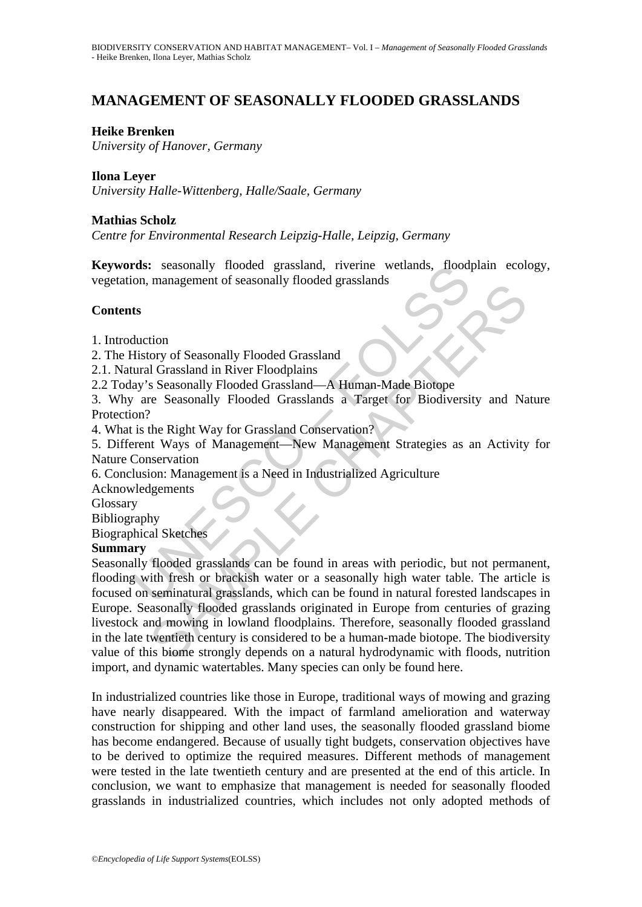# **MANAGEMENT OF SEASONALLY FLOODED GRASSLANDS**

### **Heike Brenken**

*University of Hanover, Germany* 

#### **Ilona Leyer**

*University Halle-Wittenberg, Halle/Saale, Germany* 

### **Mathias Scholz**

*Centre for Environmental Research Leipzig-Halle, Leipzig, Germany* 

**Keywords:** seasonally flooded grassland, riverine wetlands, floodplain ecology, vegetation, management of seasonally flooded grasslands

### **Contents**

1. Introduction

2. The History of Seasonally Flooded Grassland

2.1. Natural Grassland in River Floodplains

2.2 Today's Seasonally Flooded Grassland—A Human-Made Biotope

3. Why are Seasonally Flooded Grasslands a Target for Biodiversity and Nature Protection?

4. What is the Right Way for Grassland Conservation?

5. Different Ways of Management—New Management Strategies as an Activity for Nature Conservation

6. Conclusion: Management is a Need in Industrialized Agriculture

Acknowledgements

Glossary

Bibliography

Biographical Sketches

#### **Summary**

rds: seasonally flooded grassland, riverine wetlands, flood<br>on, management of seasonally flooded grasslands<br>ts<br>ts<br>ts<br>toucion<br>tiatory of Seasonally Flooded Grassland<br>any's Seasonally Flooded Grassland—A Human-Made Biotope<br>v management of seasonally filooded grasslands<br>
ion<br>
ory of Seasonally Flooded Grassland<br>
Il Grassland in River Floodplains<br>
Seasonally Flooded Grassland—A Human-Made Biotope<br>
Per Seasonally Flooded Grassland Conservation?<br> Seasonally flooded grasslands can be found in areas with periodic, but not permanent, flooding with fresh or brackish water or a seasonally high water table. The article is focused on seminatural grasslands, which can be found in natural forested landscapes in Europe. Seasonally flooded grasslands originated in Europe from centuries of grazing livestock and mowing in lowland floodplains. Therefore, seasonally flooded grassland in the late twentieth century is considered to be a human-made biotope. The biodiversity value of this biome strongly depends on a natural hydrodynamic with floods, nutrition import, and dynamic watertables. Many species can only be found here.

In industrialized countries like those in Europe, traditional ways of mowing and grazing have nearly disappeared. With the impact of farmland amelioration and waterway construction for shipping and other land uses, the seasonally flooded grassland biome has become endangered. Because of usually tight budgets, conservation objectives have to be derived to optimize the required measures. Different methods of management were tested in the late twentieth century and are presented at the end of this article. In conclusion, we want to emphasize that management is needed for seasonally flooded grasslands in industrialized countries, which includes not only adopted methods of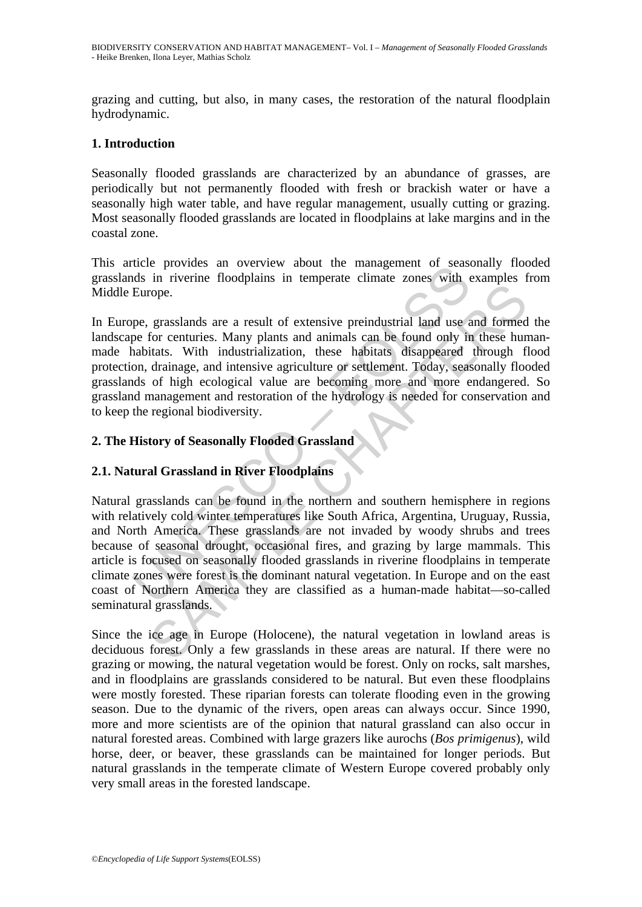grazing and cutting, but also, in many cases, the restoration of the natural floodplain hydrodynamic.

### **1. Introduction**

Seasonally flooded grasslands are characterized by an abundance of grasses, are periodically but not permanently flooded with fresh or brackish water or have a seasonally high water table, and have regular management, usually cutting or grazing. Most seasonally flooded grasslands are located in floodplains at lake margins and in the coastal zone.

This article provides an overview about the management of seasonally flooded grasslands in riverine floodplains in temperate climate zones with examples from Middle Europe.

In Europe, grasslands are a result of extensive preindustrial land use and formed the landscape for centuries. Many plants and animals can be found only in these humanmade habitats. With industrialization, these habitats disappeared through flood protection, drainage, and intensive agriculture or settlement. Today, seasonally flooded grasslands of high ecological value are becoming more and more endangered. So grassland management and restoration of the hydrology is needed for conservation and to keep the regional biodiversity.

# **2. The History of Seasonally Flooded Grassland**

# **2.1. Natural Grassland in River Floodplains**

The provides an overview about the management of seasons<br>that in riverine floodplains in temperate climate zones with example.<br>Pepe, grasslands are a result of extensive preindustrial land use a<br>pepe for centuries. Many pl rope.<br>
grasslands are a result of extensive preindustrial land use and formed<br>
for centuries. Many plants and animals can be found only in these hund<br>
tats. With industrialization, these habitats disappeared through fi<br>
dr Natural grasslands can be found in the northern and southern hemisphere in regions with relatively cold winter temperatures like South Africa, Argentina, Uruguay, Russia, and North America. These grasslands are not invaded by woody shrubs and trees because of seasonal drought, occasional fires, and grazing by large mammals. This article is focused on seasonally flooded grasslands in riverine floodplains in temperate climate zones were forest is the dominant natural vegetation. In Europe and on the east coast of Northern America they are classified as a human-made habitat—so-called seminatural grasslands.

Since the ice age in Europe (Holocene), the natural vegetation in lowland areas is deciduous forest. Only a few grasslands in these areas are natural. If there were no grazing or mowing, the natural vegetation would be forest. Only on rocks, salt marshes, and in floodplains are grasslands considered to be natural. But even these floodplains were mostly forested. These riparian forests can tolerate flooding even in the growing season. Due to the dynamic of the rivers, open areas can always occur. Since 1990, more and more scientists are of the opinion that natural grassland can also occur in natural forested areas. Combined with large grazers like aurochs (*Bos primigenus*), wild horse, deer, or beaver, these grasslands can be maintained for longer periods. But natural grasslands in the temperate climate of Western Europe covered probably only very small areas in the forested landscape.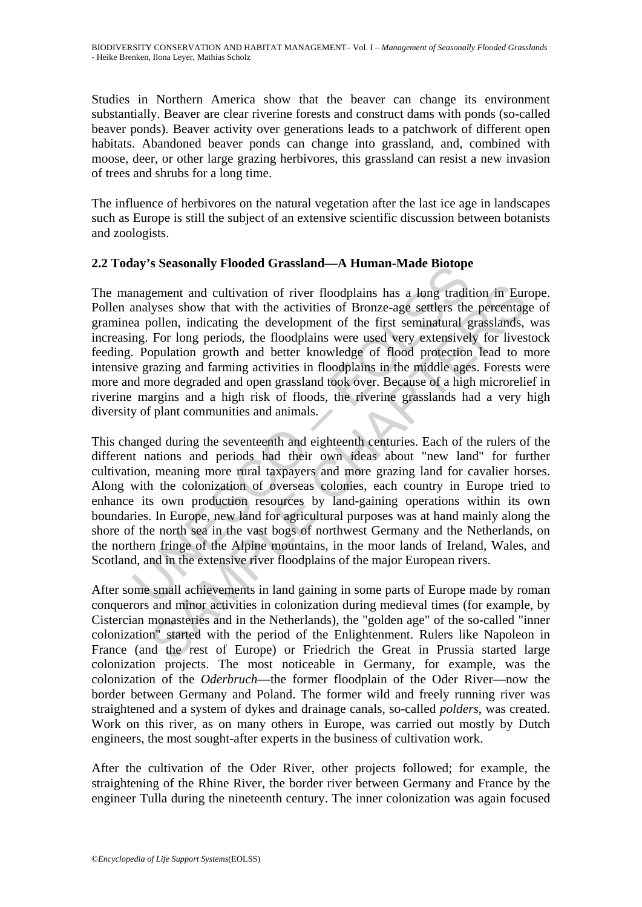Studies in Northern America show that the beaver can change its environment substantially. Beaver are clear riverine forests and construct dams with ponds (so-called beaver ponds). Beaver activity over generations leads to a patchwork of different open habitats. Abandoned beaver ponds can change into grassland, and, combined with moose, deer, or other large grazing herbivores, this grassland can resist a new invasion of trees and shrubs for a long time.

The influence of herbivores on the natural vegetation after the last ice age in landscapes such as Europe is still the subject of an extensive scientific discussion between botanists and zoologists.

# **2.2 Today's Seasonally Flooded Grassland—A Human-Made Biotope**

UNESCO – EOLSS gement and cultivation of river floodplains has a long tradition in Eurylyses show that with the activities of Bronze-age settlers the percentage onleh, indicating the development of the first seminatural grasslands, For l The management and cultivation of river floodplains has a long tradition in Europe. Pollen analyses show that with the activities of Bronze-age settlers the percentage of graminea pollen, indicating the development of the first seminatural grasslands, was increasing. For long periods, the floodplains were used very extensively for livestock feeding. Population growth and better knowledge of flood protection lead to more intensive grazing and farming activities in floodplains in the middle ages. Forests were more and more degraded and open grassland took over. Because of a high microrelief in riverine margins and a high risk of floods, the riverine grasslands had a very high diversity of plant communities and animals.

This changed during the seventeenth and eighteenth centuries. Each of the rulers of the different nations and periods had their own ideas about "new land" for further cultivation, meaning more rural taxpayers and more grazing land for cavalier horses. Along with the colonization of overseas colonies, each country in Europe tried to enhance its own production resources by land-gaining operations within its own boundaries. In Europe, new land for agricultural purposes was at hand mainly along the shore of the north sea in the vast bogs of northwest Germany and the Netherlands, on the northern fringe of the Alpine mountains, in the moor lands of Ireland, Wales, and Scotland, and in the extensive river floodplains of the major European rivers.

After some small achievements in land gaining in some parts of Europe made by roman conquerors and minor activities in colonization during medieval times (for example, by Cistercian monasteries and in the Netherlands), the "golden age" of the so-called "inner colonization" started with the period of the Enlightenment. Rulers like Napoleon in France (and the rest of Europe) or Friedrich the Great in Prussia started large colonization projects. The most noticeable in Germany, for example, was the colonization of the *Oderbruch*—the former floodplain of the Oder River—now the border between Germany and Poland. The former wild and freely running river was straightened and a system of dykes and drainage canals, so-called *polders*, was created. Work on this river, as on many others in Europe, was carried out mostly by Dutch engineers, the most sought-after experts in the business of cultivation work.

After the cultivation of the Oder River, other projects followed; for example, the straightening of the Rhine River, the border river between Germany and France by the engineer Tulla during the nineteenth century. The inner colonization was again focused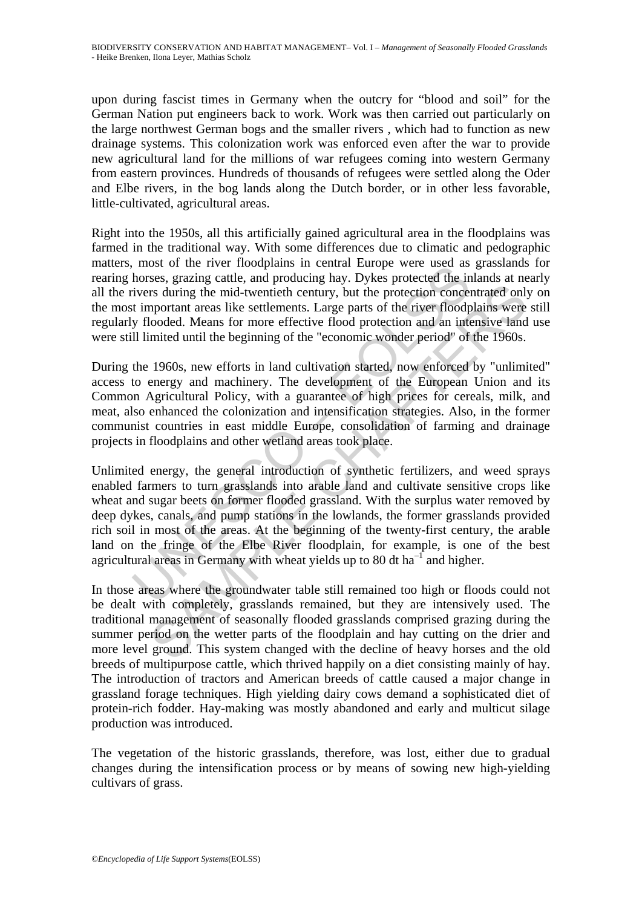upon during fascist times in Germany when the outcry for "blood and soil" for the German Nation put engineers back to work. Work was then carried out particularly on the large northwest German bogs and the smaller rivers , which had to function as new drainage systems. This colonization work was enforced even after the war to provide new agricultural land for the millions of war refugees coming into western Germany from eastern provinces. Hundreds of thousands of refugees were settled along the Oder and Elbe rivers, in the bog lands along the Dutch border, or in other less favorable, little-cultivated, agricultural areas.

Right into the 1950s, all this artificially gained agricultural area in the floodplains was farmed in the traditional way. With some differences due to climatic and pedographic matters, most of the river floodplains in central Europe were used as grasslands for rearing horses, grazing cattle, and producing hay. Dykes protected the inlands at nearly all the rivers during the mid-twentieth century, but the protection concentrated only on the most important areas like settlements. Large parts of the river floodplains were still regularly flooded. Means for more effective flood protection and an intensive land use were still limited until the beginning of the "economic wonder period" of the 1960s.

During the 1960s, new efforts in land cultivation started, now enforced by "unlimited" access to energy and machinery. The development of the European Union and its Common Agricultural Policy, with a guarantee of high prices for cereals, milk, and meat, also enhanced the colonization and intensification strategies. Also, in the former communist countries in east middle Europe, consolidation of farming and drainage projects in floodplains and other wetland areas took place.

most of the fiver inoteparal in centar Luble were used as<br>horses, grazing cattle, and producing hay. Dykes protected the in<br>viers during the mid-twentieth century, but the protection concert<br>timportant areas like settleme In the multimum of the stellar manned only the protection concentrated only and the mid-twentieth century, but the protection concentrated only approximate areas like settlements. Large parts of the river floodplains were Unlimited energy, the general introduction of synthetic fertilizers, and weed sprays enabled farmers to turn grasslands into arable land and cultivate sensitive crops like wheat and sugar beets on former flooded grassland. With the surplus water removed by deep dykes, canals, and pump stations in the lowlands, the former grasslands provided rich soil in most of the areas. At the beginning of the twenty-first century, the arable land on the fringe of the Elbe River floodplain, for example, is one of the best agricultural areas in Germany with wheat yields up to 80 dt  $ha^{-1}$  and higher.

In those areas where the groundwater table still remained too high or floods could not be dealt with completely, grasslands remained, but they are intensively used. The traditional management of seasonally flooded grasslands comprised grazing during the summer period on the wetter parts of the floodplain and hay cutting on the drier and more level ground. This system changed with the decline of heavy horses and the old breeds of multipurpose cattle, which thrived happily on a diet consisting mainly of hay. The introduction of tractors and American breeds of cattle caused a major change in grassland forage techniques. High yielding dairy cows demand a sophisticated diet of protein-rich fodder. Hay-making was mostly abandoned and early and multicut silage production was introduced.

The vegetation of the historic grasslands, therefore, was lost, either due to gradual changes during the intensification process or by means of sowing new high-yielding cultivars of grass.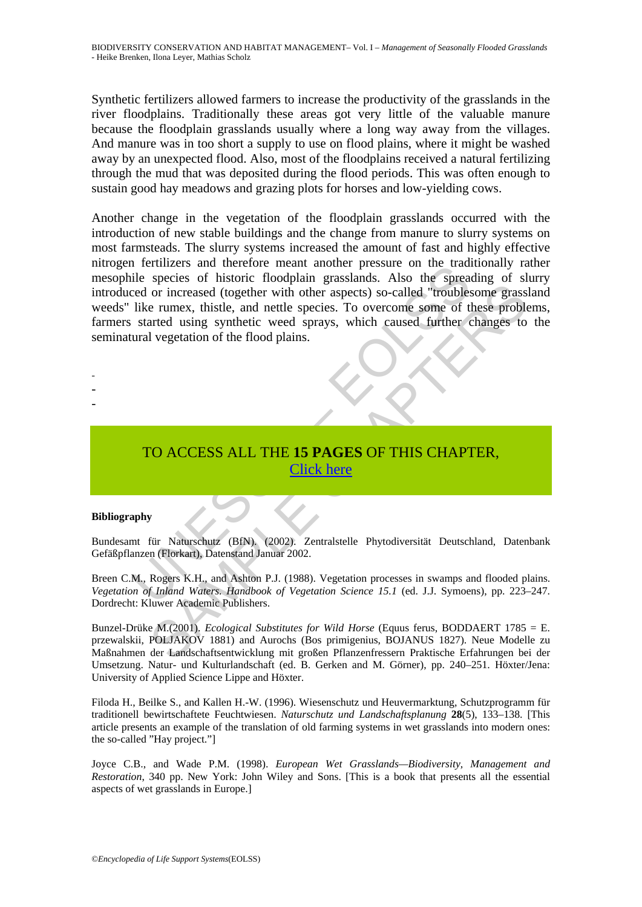Synthetic fertilizers allowed farmers to increase the productivity of the grasslands in the river floodplains. Traditionally these areas got very little of the valuable manure because the floodplain grasslands usually where a long way away from the villages. And manure was in too short a supply to use on flood plains, where it might be washed away by an unexpected flood. Also, most of the floodplains received a natural fertilizing through the mud that was deposited during the flood periods. This was often enough to sustain good hay meadows and grazing plots for horses and low-yielding cows.

Tettuzzies and unetrole Theat aloned Pressure on the traditional<br>ide species of historic floodplain grasslands. Also the spread<br>red or increased (together with other aspects) so-called "roubles<br>like rumex, thistle, and net The Content of the Landschaftsentwicklung mit großen Phanzeniressern Praktische Erlahungen between Landschaftsentwicklung mit großen Phanzeniressen Phanzeniress. To a superior of these problems are runex, thistle, and nett Another change in the vegetation of the floodplain grasslands occurred with the introduction of new stable buildings and the change from manure to slurry systems on most farmsteads. The slurry systems increased the amount of fast and highly effective nitrogen fertilizers and therefore meant another pressure on the traditionally rather mesophile species of historic floodplain grasslands. Also the spreading of slurry introduced or increased (together with other aspects) so-called "troublesome grassland weeds" like rumex, thistle, and nettle species. To overcome some of these problems, farmers started using synthetic weed sprays, which caused further changes to the seminatural vegetation of the flood plains.

TO ACCESS ALL THE **15 PAGES** OF THIS CHAPTER, Click here

#### **Bibliography**

- - -

Bundesamt für Naturschutz (BfN). (2002). Zentralstelle Phytodiversität Deutschland, Datenbank Gefäßpflanzen (Florkart), Datenstand Januar 2002.

Breen C.M., Rogers K.H., and Ashton P.J. (1988). Vegetation processes in swamps and flooded plains. *Vegetation of Inland Waters. Handbook of Vegetation Science 15.1* (ed. J.J. Symoens), pp. 223–247. Dordrecht: Kluwer Academic Publishers.

Bunzel-Drüke M.(2001). *Ecological Substitutes for Wild Horse* (Equus ferus, BODDAERT 1785 = E. przewalskii, POLJAKOV 1881) and Aurochs (Bos primigenius, BOJANUS 1827). Neue Modelle zu Maßnahmen der Landschaftsentwicklung mit großen Pflanzenfressern Praktische Erfahrungen bei der Umsetzung. Natur- und Kulturlandschaft (ed. B. Gerken and M. Görner), pp. 240–251. Höxter/Jena: University of Applied Science Lippe and Höxter.

Filoda H., Beilke S., and Kallen H.-W. (1996). Wiesenschutz und Heuvermarktung, Schutzprogramm für traditionell bewirtschaftete Feuchtwiesen. *Naturschutz und Landschaftsplanung* **28**(5), 133–138. [This article presents an example of the translation of old farming systems in wet grasslands into modern ones: the so-called "Hay project."]

Joyce C.B., and Wade P.M. (1998). *European Wet Grasslands—Biodiversity, Management and Restoration*, 340 pp. New York: John Wiley and Sons. [This is a book that presents all the essential aspects of wet grasslands in Europe.]